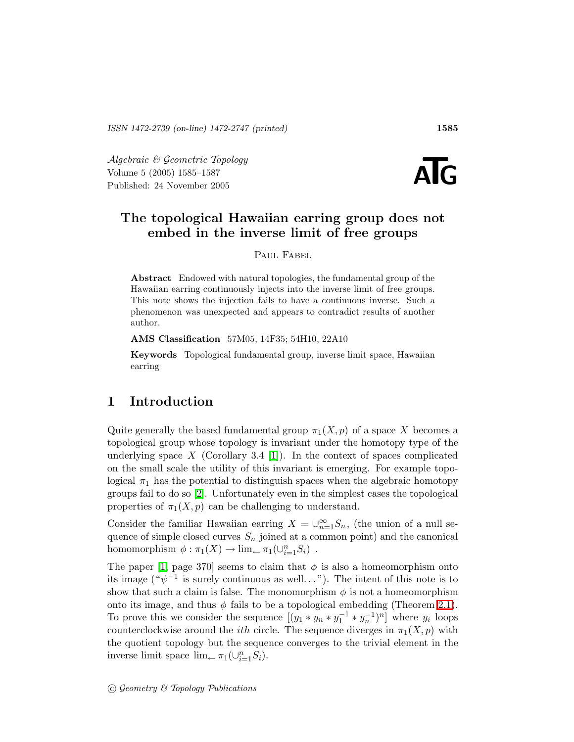Algebraic & Geometric Topology Volume 5 (2005) 1585–1587  $\begin{array}{l} \mathcal{A} \emph{Igebraic $\mathcal{B}$} \emph{Geometric Topology} \nonumber \small \text{Volume 5 (2005) 1585–1587} \nonumber \small \text{Published: 24 November 2005} \end{array}$ 



# The topological Hawaiian earring group does not embed in the inverse limit of free groups

PAUL FABEL

Abstract Endowed with natural topologies, the fundamental group of the Hawaiian earring continuously injects into the inverse limit of free groups. This note shows the injection fails to have a continuous inverse. Such a phenomenon was unexpected and appears to contradict results of another author.

AMS Classification 57M05, 14F35; 54H10, 22A10

Keywords Topological fundamental group, inverse limit space, Hawaiian earring

## 1 Introduction

Quite generally the based fundamental group  $\pi_1(X,p)$  of a space X becomes a topological group whose topology is invariant under the homotopy type of the underlying space  $X$  (Corollary 3.4 [\[1\]](#page-2-0)). In the context of spaces complicated on the small scale the utility of this invariant is emerging. For example topological  $\pi_1$  has the potential to distinguish spaces when the algebraic homotopy groups fail to do so [\[2\]](#page-2-1). Unfortunately even in the simplest cases the topological properties of  $\pi_1(X,p)$  can be challenging to understand.

Consider the familiar Hawaiian earring  $X = \bigcup_{n=1}^{\infty} S_n$ , (the union of a null sequence of simple closed curves  $S_n$  joined at a common point) and the canonical homomorphism  $\phi : \pi_1(X) \to \lim_{\leftarrow} \pi_1(\cup_{i=1}^n S_i)$ .

The paper [\[1,](#page-2-0) page 370] seems to claim that  $\phi$  is also a homeomorphism onto its image  $({}^{\omega}\psi^{-1}$  is surely continuous as well..."). The intent of this note is to show that such a claim is false. The monomorphism  $\phi$  is not a homeomorphism onto its image, and thus  $\phi$  fails to be a topological embedding (Theorem [2.1\)](#page-1-0). To prove this we consider the sequence  $[(y_1 * y_n * y_1^{-1} * y_n^{-1})^n]$  where  $y_i$  loops counterclockwise around the *ith* circle. The sequence diverges in  $\pi_1(X,p)$  with the quotient topology but the sequence converges to the trivial element in the inverse limit space  $\lim_{n \to \infty} \pi_1(\cup_{i=1}^n S_i)$ .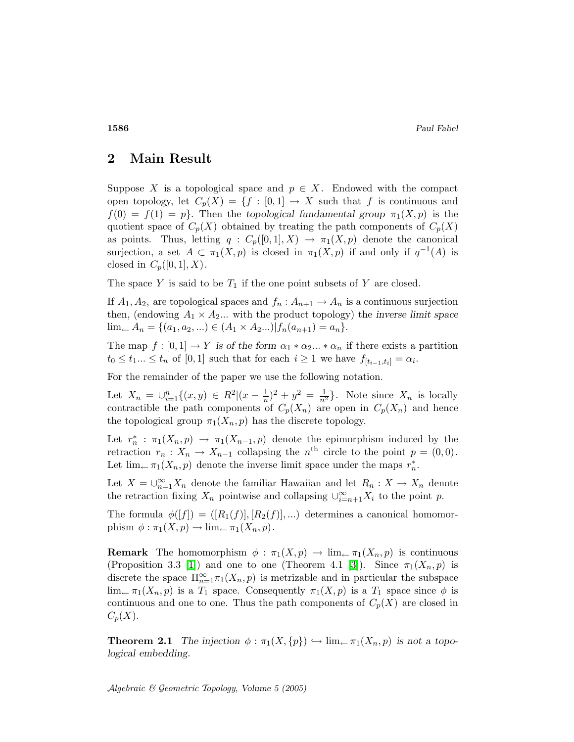### 2 Main Result

Suppose X is a topological space and  $p \in X$ . Endowed with the compact open topology, let  $C_p(X) = \{f : [0,1] \to X \text{ such that } f \text{ is continuous and }\}$  $f(0) = f(1) = p$ . Then the topological fundamental group  $\pi_1(X, p)$  is the quotient space of  $C_p(X)$  obtained by treating the path components of  $C_p(X)$ as points. Thus, letting  $q : C_p([0,1],X) \to \pi_1(X,p)$  denote the canonical surjection, a set  $A \subset \pi_1(X,p)$  is closed in  $\pi_1(X,p)$  if and only if  $q^{-1}(A)$  is closed in  $C_p([0,1],X)$ .

The space Y is said to be  $T_1$  if the one point subsets of Y are closed.

If  $A_1, A_2$ , are topological spaces and  $f_n : A_{n+1} \to A_n$  is a continuous surjection then, (endowing  $A_1 \times A_2$ ... with the product topology) the inverse limit space  $\lim_{n \to \infty} A_n = \{ (a_1, a_2, \ldots) \in (A_1 \times A_2 \ldots) | f_n(a_{n+1}) = a_n \}.$ 

The map  $f : [0,1] \to Y$  is of the form  $\alpha_1 * \alpha_2 ... * \alpha_n$  if there exists a partition  $t_0 \leq t_1 ... \leq t_n$  of [0,1] such that for each  $i \geq 1$  we have  $f_{[t_{i-1},t_i]} = \alpha_i$ .

For the remainder of the paper we use the following notation.

Let  $X_n = \bigcup_{i=1}^n \{(x, y) \in R^2 | (x - \frac{1}{n})^2 + y^2 = \frac{1}{n^2} \}.$  Note since  $X_n$  is locally contractible the path components of  $C_p(X_n)$  are open in  $C_p(X_n)$  and hence the topological group  $\pi_1(X_n, p)$  has the discrete topology.

Let  $r_n^*$  $\pi_n$ :  $\pi_1(X_n, p) \to \pi_1(X_{n-1}, p)$  denote the epimorphism induced by the retraction  $r_n: X_n \to X_{n-1}$  collapsing the  $n^{\text{th}}$  circle to the point  $p = (0, 0)$ . Let  $\lim_{\leftarrow} \pi_1(X_n, p)$  denote the inverse limit space under the maps  $r_n^*$  $\frac{*}{n}$ .

Let  $X = \bigcup_{n=1}^{\infty} X_n$  denote the familiar Hawaiian and let  $R_n : X \to X_n$  denote the retraction fixing  $X_n$  pointwise and collapsing  $\cup_{i=n+1}^{\infty} X_i$  to the point p.

The formula  $\phi([f]) = ([R_1(f)], [R_2(f)],...)$  determines a canonical homomorphism  $\phi : \pi_1(X, p) \to \lim_{\leftarrow} \pi_1(X_n, p)$ .

**Remark** The homomorphism  $\phi : \pi_1(X,p) \to \lim_{\leftarrow} \pi_1(X_n,p)$  is continuous (Proposition 3.3 [\[1\]](#page-2-0)) and one to one (Theorem 4.1 [\[3\]](#page-2-2)). Since  $\pi_1(X_n, p)$  is discrete the space  $\prod_{n=1}^{\infty} \pi_1(X_n, p)$  is metrizable and in particular the subspace  $\lim_{\leftarrow} \pi_1(X_n, p)$  is a  $T_1$  space. Consequently  $\pi_1(X, p)$  is a  $T_1$  space since  $\phi$  is continuous and one to one. Thus the path components of  $C_p(X)$  are closed in  $C_p(X)$ .

<span id="page-1-0"></span>**Theorem 2.1** The injection  $\phi : \pi_1(X, \{p\}) \hookrightarrow \lim_{\leftarrow} \pi_1(X_n, p)$  is not a topological embedding.

Algebraic & Geometric Topology, Volume 5 (2005)